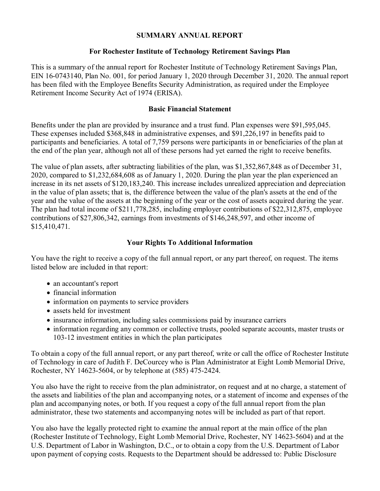#### **SUMMARY ANNUAL REPORT**

### **For Rochester Institute of Technology Retirement Savings Plan**

This is a summary of the annual report for Rochester Institute of Technology Retirement Savings Plan, EIN 16-0743140, Plan No. 001, for period January 1, 2020 through December 31, 2020. The annual report has been filed with the Employee Benefits Security Administration, as required under the Employee Retirement Income Security Act of 1974 (ERISA).

## **Basic Financial Statement**

Benefits under the plan are provided by insurance and a trust fund. Plan expenses were \$91,595,045. These expenses included \$368,848 in administrative expenses, and \$91,226,197 in benefits paid to participants and beneficiaries. A total of 7,759 persons were participants in or beneficiaries of the plan at the end of the plan year, although not all of these persons had yet earned the right to receive benefits.

The value of plan assets, after subtracting liabilities of the plan, was \$1,352,867,848 as of December 31, 2020, compared to \$1,232,684,608 as of January 1, 2020. During the plan year the plan experienced an increase in its net assets of \$120,183,240. This increase includes unrealized appreciation and depreciation in the value of plan assets; that is, the difference between the value of the plan's assets at the end of the year and the value of the assets at the beginning of the year or the cost of assets acquired during the year. The plan had total income of \$211,778,285, including employer contributions of \$22,312,875, employee contributions of \$27,806,342, earnings from investments of \$146,248,597, and other income of \$15,410,471.

# **Your Rights To Additional Information**

You have the right to receive a copy of the full annual report, or any part thereof, on request. The items listed below are included in that report:

- an accountant's report
- financial information
- information on payments to service providers
- assets held for investment
- insurance information, including sales commissions paid by insurance carriers
- information regarding any common or collective trusts, pooled separate accounts, master trusts or 103-12 investment entities in which the plan participates

To obtain a copy of the full annual report, or any part thereof, write or call the office of Rochester Institute of Technology in care of Judith F. DeCourcey who is Plan Administrator at Eight Lomb Memorial Drive, Rochester, NY 14623-5604, or by telephone at (585) 475-2424.

You also have the right to receive from the plan administrator, on request and at no charge, a statement of the assets and liabilities of the plan and accompanying notes, or a statement of income and expenses of the plan and accompanying notes, or both. If you request a copy of the full annual report from the plan administrator, these two statements and accompanying notes will be included as part of that report.

You also have the legally protected right to examine the annual report at the main office of the plan (Rochester Institute of Technology, Eight Lomb Memorial Drive, Rochester, NY 14623-5604) and at the U.S. Department of Labor in Washington, D.C., or to obtain a copy from the U.S. Department of Labor upon payment of copying costs. Requests to the Department should be addressed to: Public Disclosure